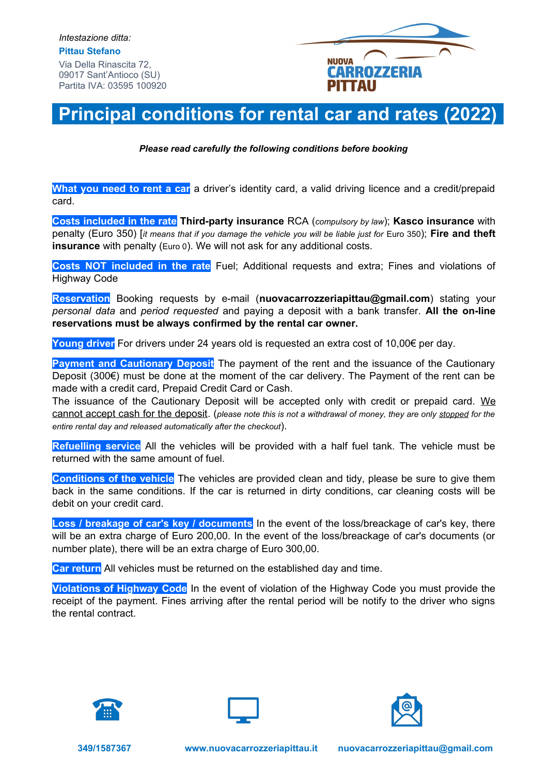

## **Principal conditions for rental car and rates (2022)**

*Please read carefully the following conditions before booking*

**What you need to rent a car** a driver's identity card, a valid driving licence and a credit/prepaid card.

**Costs included in the rate Third-party insurance** RCA (*compulsory by law*); **Kasco insurance** with penalty (Euro 350) [*it means that if you damage the vehicle you will be liable just for* Euro 350); **Fire and theft insurance** with penalty (Euro 0). We will not ask for any additional costs.

**Costs NOT included in the rate** Fuel; Additional requests and extra; Fines and violations of Highway Code

**Reservation** Booking requests by e-mail (**nuovacarrozzeriapittau@gmail.com**) stating your *personal data* and *period requested* and paying a deposit with a bank transfer. **All the on-line reservations must be always confirmed by the rental car owner.** 

**Young driver** For drivers under 24 years old is requested an extra cost of 10,00€ per day.

**Payment and Cautionary Deposit** The payment of the rent and the issuance of the Cautionary Deposit (300€) must be done at the moment of the car delivery. The Payment of the rent can be made with a credit card, Prepaid Credit Card or Cash.

The issuance of the Cautionary Deposit will be accepted only with credit or prepaid card. We cannot accept cash for the deposit. (*please note this is not a withdrawal of money, they are only stopped for the entire rental day and released automatically after the checkout*).

**Refuelling service** All the vehicles will be provided with a half fuel tank. The vehicle must be returned with the same amount of fuel.

**Conditions of the vehicle** The vehicles are provided clean and tidy, please be sure to give them back in the same conditions. If the car is returned in dirty conditions, car cleaning costs will be debit on your credit card.

**Loss / breakage of car's key / documents** In the event of the loss/breackage of car's key, there will be an extra charge of Euro 200,00. In the event of the loss/breackage of car's documents (or number plate), there will be an extra charge of Euro 300,00.

**Car return** All vehicles must be returned on the established day and time.

**Violations of Highway Code** In the event of violation of the Highway Code you must provide the receipt of the payment. Fines arriving after the rental period will be notify to the driver who signs the rental contract.